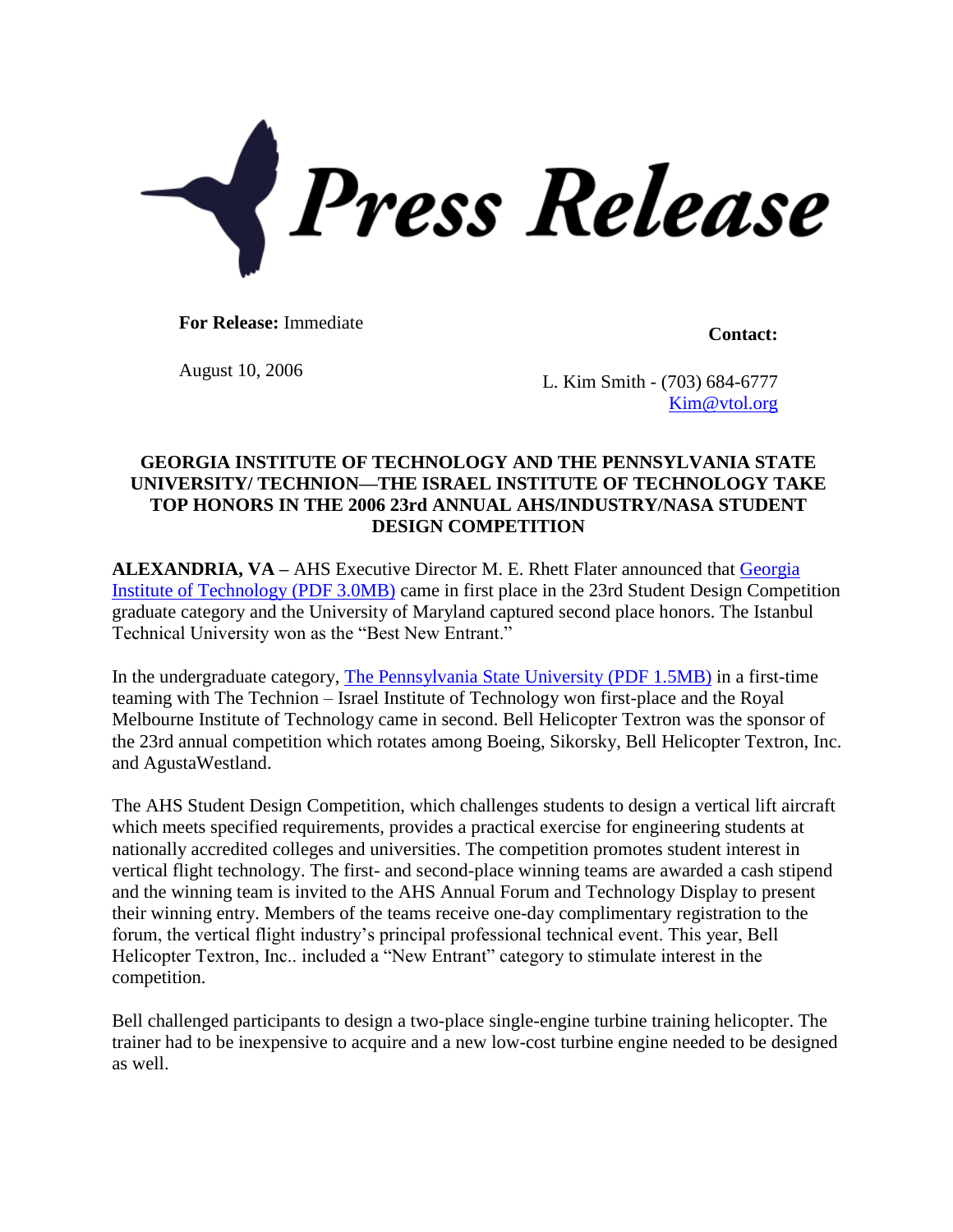

For Release: Immediate **Contact:** 

August 10, 2006 L. Kim Smith - (703) 684-6777 [Kim@vtol.org](mailto:Kim@vtol.org)

## **GEORGIA INSTITUTE OF TECHNOLOGY AND THE PENNSYLVANIA STATE UNIVERSITY/ TECHNION—THE ISRAEL INSTITUTE OF TECHNOLOGY TAKE TOP HONORS IN THE 2006 23rd ANNUAL AHS/INDUSTRY/NASA STUDENT DESIGN COMPETITION**

**ALEXANDRIA, VA –** AHS Executive Director M. E. Rhett Flater announced that [Georgia](http://www.vtol.org/pdf/2006GATechGrad.pdf)  [Institute of Technology](http://www.vtol.org/pdf/2006GATechGrad.pdf) (PDF 3.0MB) came in first place in the 23rd Student Design Competition graduate category and the University of Maryland captured second place honors. The Istanbul Technical University won as the "Best New Entrant."

In the undergraduate category, [The Pennsylvania State University](http://www.vtol.org/pdf/2006PSUundergrad.pdf) (PDF 1.5MB) in a first-time teaming with The Technion – Israel Institute of Technology won first-place and the Royal Melbourne Institute of Technology came in second. Bell Helicopter Textron was the sponsor of the 23rd annual competition which rotates among Boeing, Sikorsky, Bell Helicopter Textron, Inc. and AgustaWestland.

The AHS Student Design Competition, which challenges students to design a vertical lift aircraft which meets specified requirements, provides a practical exercise for engineering students at nationally accredited colleges and universities. The competition promotes student interest in vertical flight technology. The first- and second-place winning teams are awarded a cash stipend and the winning team is invited to the AHS Annual Forum and Technology Display to present their winning entry. Members of the teams receive one-day complimentary registration to the forum, the vertical flight industry's principal professional technical event. This year, Bell Helicopter Textron, Inc.. included a "New Entrant" category to stimulate interest in the competition.

Bell challenged participants to design a two-place single-engine turbine training helicopter. The trainer had to be inexpensive to acquire and a new low-cost turbine engine needed to be designed as well.